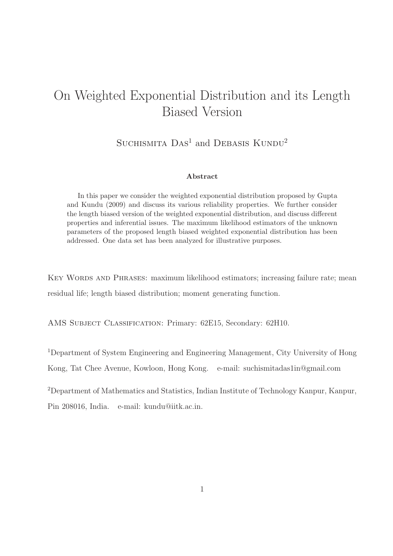## On Weighted Exponential Distribution and its Length Biased Version

SUCHISMITA  $Das<sup>1</sup>$  and DEBASIS  $KUNDU<sup>2</sup>$ 

#### Abstract

In this paper we consider the weighted exponential distribution proposed by Gupta and Kundu (2009) and discuss its various reliability properties. We further consider the length biased version of the weighted exponential distribution, and discuss different properties and inferential issues. The maximum likelihood estimators of the unknown parameters of the proposed length biased weighted exponential distribution has been addressed. One data set has been analyzed for illustrative purposes.

KEY WORDS AND PHRASES: maximum likelihood estimators; increasing failure rate; mean residual life; length biased distribution; moment generating function.

AMS SUBJECT CLASSIFICATION: Primary: 62E15, Secondary: 62H10.

<sup>1</sup>Department of System Engineering and Engineering Management, City University of Hong

Kong, Tat Chee Avenue, Kowloon, Hong Kong. e-mail: suchismitadas1in@gmail.com

<sup>2</sup>Department of Mathematics and Statistics, Indian Institute of Technology Kanpur, Kanpur, Pin 208016, India. e-mail: kundu@iitk.ac.in.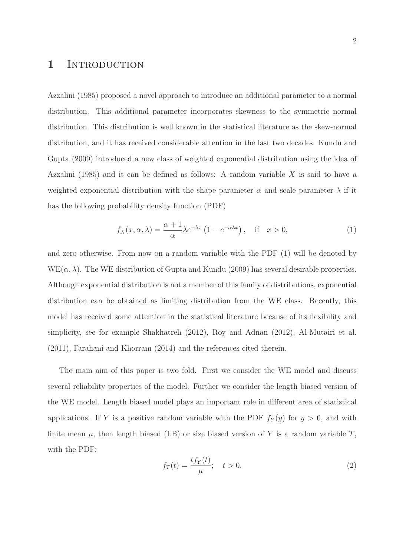### 1 INTRODUCTION

Azzalini (1985) proposed a novel approach to introduce an additional parameter to a normal distribution. This additional parameter incorporates skewness to the symmetric normal distribution. This distribution is well known in the statistical literature as the skew-normal distribution, and it has received considerable attention in the last two decades. Kundu and Gupta (2009) introduced a new class of weighted exponential distribution using the idea of Azzalini (1985) and it can be defined as follows: A random variable  $X$  is said to have a weighted exponential distribution with the shape parameter  $\alpha$  and scale parameter  $\lambda$  if it has the following probability density function (PDF)

$$
f_X(x, \alpha, \lambda) = \frac{\alpha + 1}{\alpha} \lambda e^{-\lambda x} \left( 1 - e^{-\alpha \lambda x} \right), \quad \text{if} \quad x > 0,
$$
 (1)

and zero otherwise. From now on a random variable with the PDF (1) will be denoted by  $WE(\alpha, \lambda)$ . The WE distribution of Gupta and Kundu (2009) has several desirable properties. Although exponential distribution is not a member of this family of distributions, exponential distribution can be obtained as limiting distribution from the WE class. Recently, this model has received some attention in the statistical literature because of its flexibility and simplicity, see for example Shakhatreh (2012), Roy and Adnan (2012), Al-Mutairi et al. (2011), Farahani and Khorram (2014) and the references cited therein.

The main aim of this paper is two fold. First we consider the WE model and discuss several reliability properties of the model. Further we consider the length biased version of the WE model. Length biased model plays an important role in different area of statistical applications. If Y is a positive random variable with the PDF  $f_Y(y)$  for  $y > 0$ , and with finite mean  $\mu$ , then length biased (LB) or size biased version of Y is a random variable T, with the PDF;

$$
f_T(t) = \frac{tf_Y(t)}{\mu}; \quad t > 0.
$$
\n
$$
(2)
$$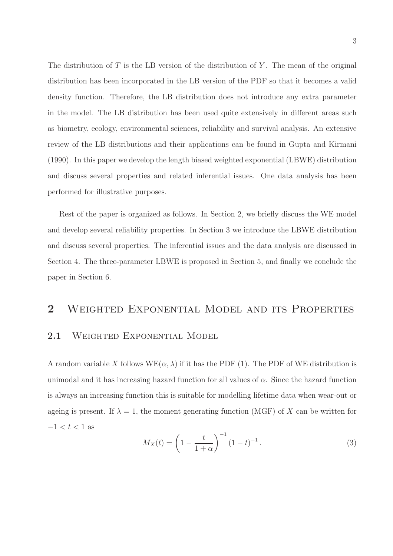The distribution of T is the LB version of the distribution of Y. The mean of the original distribution has been incorporated in the LB version of the PDF so that it becomes a valid density function. Therefore, the LB distribution does not introduce any extra parameter in the model. The LB distribution has been used quite extensively in different areas such as biometry, ecology, environmental sciences, reliability and survival analysis. An extensive review of the LB distributions and their applications can be found in Gupta and Kirmani (1990). In this paper we develop the length biased weighted exponential (LBWE) distribution and discuss several properties and related inferential issues. One data analysis has been performed for illustrative purposes.

Rest of the paper is organized as follows. In Section 2, we briefly discuss the WE model and develop several reliability properties. In Section 3 we introduce the LBWE distribution and discuss several properties. The inferential issues and the data analysis are discussed in Section 4. The three-parameter LBWE is proposed in Section 5, and finally we conclude the paper in Section 6.

# 2 Weighted Exponential Model and its Properties 2.1 WEIGHTED EXPONENTIAL MODEL

A random variable X follows  $WE(\alpha, \lambda)$  if it has the PDF (1). The PDF of WE distribution is unimodal and it has increasing hazard function for all values of  $\alpha$ . Since the hazard function is always an increasing function this is suitable for modelling lifetime data when wear-out or ageing is present. If  $\lambda = 1$ , the moment generating function (MGF) of X can be written for  $-1 < t < 1$  as

$$
M_X(t) = \left(1 - \frac{t}{1 + \alpha}\right)^{-1} (1 - t)^{-1}.
$$
 (3)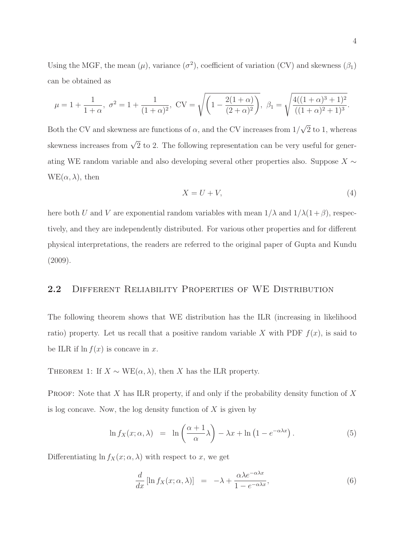Using the MGF, the mean  $(\mu)$ , variance  $(\sigma^2)$ , coefficient of variation (CV) and skewness  $(\beta_1)$ can be obtained as

$$
\mu = 1 + \frac{1}{1+\alpha}, \ \sigma^2 = 1 + \frac{1}{(1+\alpha)^2}, \ CV = \sqrt{\left(1 - \frac{2(1+\alpha)}{(2+\alpha)^2}\right)}, \ \beta_1 = \sqrt{\frac{4((1+\alpha)^3 + 1)^2}{((1+\alpha)^2 + 1)^3}}.
$$

Both the CV and skewness are functions of  $\alpha$ , and the CV increases from  $1/\sqrt{2}$  to 1, whereas skewness increases from  $\sqrt{2}$  to 2. The following representation can be very useful for generating WE random variable and also developing several other properties also. Suppose  $X \sim$  $WE(\alpha, \lambda)$ , then

$$
X = U + V,\tag{4}
$$

here both U and V are exponential random variables with mean  $1/\lambda$  and  $1/\lambda(1+\beta)$ , respectively, and they are independently distributed. For various other properties and for different physical interpretations, the readers are referred to the original paper of Gupta and Kundu (2009).

#### 2.2 DIFFERENT RELIABILITY PROPERTIES OF WE DISTRIBUTION

The following theorem shows that WE distribution has the ILR (increasing in likelihood ratio) property. Let us recall that a positive random variable X with PDF  $f(x)$ , is said to be ILR if  $\ln f(x)$  is concave in x.

THEOREM 1: If  $X \sim \text{WE}(\alpha, \lambda)$ , then X has the ILR property.

PROOF: Note that  $X$  has ILR property, if and only if the probability density function of  $X$ is log concave. Now, the log density function of  $X$  is given by

$$
\ln f_X(x; \alpha, \lambda) = \ln \left( \frac{\alpha + 1}{\alpha} \lambda \right) - \lambda x + \ln \left( 1 - e^{-\alpha \lambda x} \right). \tag{5}
$$

Differentiating  $\ln f_X(x; \alpha, \lambda)$  with respect to x, we get

$$
\frac{d}{dx}\left[\ln f_X(x;\alpha,\lambda)\right] = -\lambda + \frac{\alpha\lambda e^{-\alpha\lambda x}}{1 - e^{-\alpha\lambda x}},\tag{6}
$$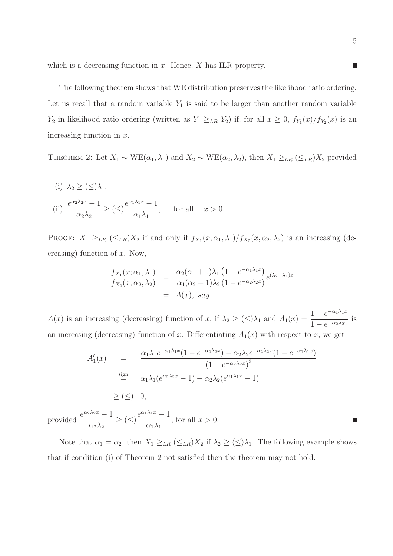which is a decreasing function in  $x$ . Hence,  $X$  has ILR property.

The following theorem shows that WE distribution preserves the likelihood ratio ordering. Let us recall that a random variable  $Y_1$  is said to be larger than another random variable  $Y_2$  in likelihood ratio ordering (written as  $Y_1 \geq_{LR} Y_2$ ) if, for all  $x \geq 0$ ,  $f_{Y_1}(x)/f_{Y_2}(x)$  is an increasing function in x.

THEOREM 2: Let  $X_1 \sim \text{WE}(\alpha_1, \lambda_1)$  and  $X_2 \sim \text{WE}(\alpha_2, \lambda_2)$ , then  $X_1 \geq_{LR} (\leq_{LR})X_2$  provided

(i) 
$$
\lambda_2 \ge (\le) \lambda_1
$$
,  
\n(ii)  $\frac{e^{\alpha_2 \lambda_2 x} - 1}{\alpha_2 \lambda_2} \ge (\le) \frac{e^{\alpha_1 \lambda_1 x} - 1}{\alpha_1 \lambda_1}$ , for all  $x > 0$ .

PROOF:  $X_1 \geq_{LR} (\leq_{LR}) X_2$  if and only if  $f_{X_1}(x, \alpha_1, \lambda_1) / f_{X_2}(x, \alpha_2, \lambda_2)$  is an increasing (decreasing) function of  $x$ . Now,

$$
\frac{f_{X_1}(x;\alpha_1,\lambda_1)}{f_{X_2}(x;\alpha_2,\lambda_2)} = \frac{\alpha_2(\alpha_1+1)\lambda_1(1-e^{-\alpha_1\lambda_1x})}{\alpha_1(\alpha_2+1)\lambda_2(1-e^{-\alpha_2\lambda_2x})}e^{(\lambda_2-\lambda_1)x}
$$
  
=  $A(x)$ , say.

 $A(x)$  is an increasing (decreasing) function of x, if  $\lambda_2 \geq (\leq) \lambda_1$  and  $A_1(x) = \frac{1 - e^{-\alpha_1 \lambda_1 x}}{1 - e^{-\alpha_2 \lambda_2 x}}$  $\frac{1}{1 - e^{-\alpha_2 \lambda_2 x}}$  is an increasing (decreasing) function of x. Differentiating  $A_1(x)$  with respect to x, we get

$$
A'_1(x) = \frac{\alpha_1 \lambda_1 e^{-\alpha_1 \lambda_1 x} (1 - e^{-\alpha_2 \lambda_2 x}) - \alpha_2 \lambda_2 e^{-\alpha_2 \lambda_2 x} (1 - e^{-\alpha_1 \lambda_1 x})}{(1 - e^{-\alpha_2 \lambda_2 x})^2}
$$
  

$$
\stackrel{\text{sign}}{=} \alpha_1 \lambda_1 (e^{\alpha_2 \lambda_2 x} - 1) - \alpha_2 \lambda_2 (e^{\alpha_1 \lambda_1 x} - 1)
$$
  

$$
\geq (\leq) 0,
$$

provided  $\frac{e^{\alpha_2 \lambda_2 x} - 1}{\lambda}$  $\frac{1}{\alpha_2 \lambda_2} \geq (\leq)$  $e^{\alpha_1\lambda_1x}-1$  $\alpha_1\lambda_1$ , for all  $x > 0$ .

Note that  $\alpha_1 = \alpha_2$ , then  $X_1 \geq_{LR} (\leq_{LR}) X_2$  if  $\lambda_2 \geq (\leq) \lambda_1$ . The following example shows that if condition (i) of Theorem 2 not satisfied then the theorem may not hold.

 $\Box$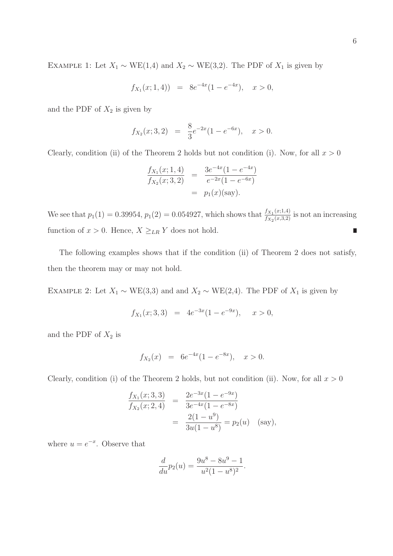EXAMPLE 1: Let  $X_1 \sim \text{WE}(1,4)$  and  $X_2 \sim \text{WE}(3,2)$ . The PDF of  $X_1$  is given by

$$
f_{X_1}(x; 1, 4)) = 8e^{-4x}(1 - e^{-4x}), \quad x > 0,
$$

and the PDF of  $X_2$  is given by

$$
f_{X_2}(x; 3, 2) = \frac{8}{3}e^{-2x}(1 - e^{-6x}), \quad x > 0.
$$

Clearly, condition (ii) of the Theorem 2 holds but not condition (i). Now, for all  $x > 0$ 

$$
\frac{f_{X_1}(x; 1, 4)}{f_{X_2}(x; 3, 2)} = \frac{3e^{-4x}(1 - e^{-4x})}{e^{-2x}(1 - e^{-6x})}
$$
  
=  $p_1(x)$ (say).

We see that  $p_1(1) = 0.39954$ ,  $p_1(2) = 0.054927$ , which shows that  $\frac{f_{X_1}(x;1,4)}{f_{X_1}(x;3,2)}$  $\frac{f_{X_1}(x,1,4)}{f_{X_2}(x,3,2)}$  is not an increasing function of  $x > 0$ . Hence,  $X \geq_{LR} Y$  does not hold. Ľ

The following examples shows that if the condition (ii) of Theorem 2 does not satisfy, then the theorem may or may not hold.

EXAMPLE 2: Let  $X_1 \sim \text{WE}(3,3)$  and and  $X_2 \sim \text{WE}(2,4)$ . The PDF of  $X_1$  is given by

$$
f_{X_1}(x; 3, 3) = 4e^{-3x}(1 - e^{-9x}), \quad x > 0,
$$

and the PDF of  $X_2$  is

$$
f_{X_2}(x) = 6e^{-4x}(1 - e^{-8x}), \quad x > 0.
$$

Clearly, condition (i) of the Theorem 2 holds, but not condition (ii). Now, for all  $x > 0$ 

$$
\frac{f_{X_1}(x; 3,3)}{f_{X_2}(x; 2,4)} = \frac{2e^{-3x}(1-e^{-9x})}{3e^{-4x}(1-e^{-8x})}
$$

$$
= \frac{2(1-u^9)}{3u(1-u^8)} = p_2(u) \quad \text{(say)},
$$

where  $u = e^{-x}$ . Observe that

$$
\frac{d}{du}p_2(u) = \frac{9u^8 - 8u^9 - 1}{u^2(1 - u^8)^2}.
$$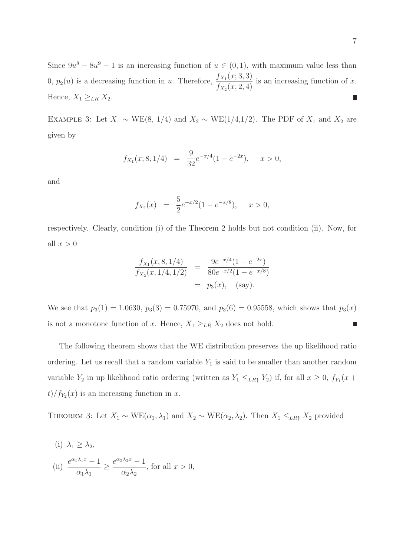Since  $9u^8 - 8u^9 - 1$  is an increasing function of  $u \in (0,1)$ , with maximum value less than 0,  $p_2(u)$  is a decreasing function in u. Therefore,  $\frac{f_{X_1}(x;3,3)}{f_{(x_1,3,3)}}$  $\frac{f_{X_1}(x, 0, 0)}{f_{X_2}(x, 2, 4)}$  is an increasing function of x. Hence,  $X_1 \geq_{LR} X_2$ .  $\overline{\phantom{a}}$ 

EXAMPLE 3: Let  $X_1 \sim \text{WE}(8, 1/4)$  and  $X_2 \sim \text{WE}(1/4, 1/2)$ . The PDF of  $X_1$  and  $X_2$  are given by

$$
f_{X_1}(x; 8, 1/4) = \frac{9}{32}e^{-x/4}(1 - e^{-2x}), \quad x > 0,
$$

and

$$
f_{X_2}(x) = \frac{5}{2}e^{-x/2}(1 - e^{-x/8}), \quad x > 0,
$$

respectively. Clearly, condition (i) of the Theorem 2 holds but not condition (ii). Now, for all  $x > 0$ 

$$
\frac{f_{X_1}(x,8,1/4)}{f_{X_2}(x,1/4,1/2)} = \frac{9e^{-x/4}(1-e^{-2x})}{80e^{-x/2}(1-e^{-x/8})}
$$
  
=  $p_3(x)$ , (say).

We see that  $p_3(1) = 1.0630$ ,  $p_3(3) = 0.75970$ , and  $p_3(6) = 0.95558$ , which shows that  $p_3(x)$ is not a monotone function of x. Hence,  $X_1 \geq_{LR} X_2$  does not hold. Π

The following theorem shows that the WE distribution preserves the up likelihood ratio ordering. Let us recall that a random variable  $Y_1$  is said to be smaller than another random variable  $Y_2$  in up likelihood ratio ordering (written as  $Y_1 \leq_{LR} Y_2$ ) if, for all  $x \geq 0$ ,  $f_{Y_1}(x +$  $t)/f_{Y_2}(x)$  is an increasing function in x.

THEOREM 3: Let  $X_1 \sim \text{WE}(\alpha_1, \lambda_1)$  and  $X_2 \sim \text{WE}(\alpha_2, \lambda_2)$ . Then  $X_1 \leq_{LR} X_2$  provided

(i) 
$$
\lambda_1 \ge \lambda_2
$$
,  
\n(ii)  $\frac{e^{\alpha_1 \lambda_1 x} - 1}{\alpha_1 \lambda_1} \ge \frac{e^{\alpha_2 \lambda_2 x} - 1}{\alpha_2 \lambda_2}$ , for all  $x > 0$ ,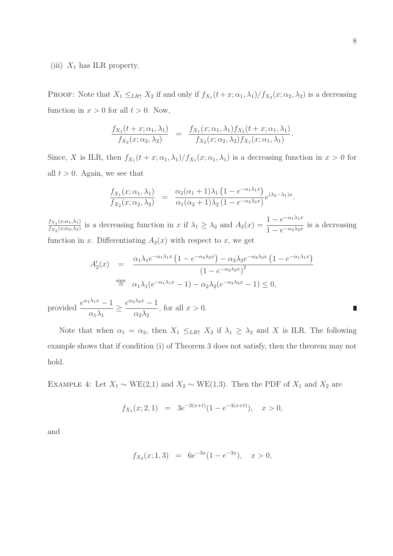#### (iii)  $X_1$  has ILR property.

PROOF: Note that  $X_1 \leq_{LR\uparrow} X_2$  if and only if  $f_{X_1}(t+x; \alpha_1, \lambda_1)/f_{X_2}(x; \alpha_2, \lambda_2)$  is a decreasing function in  $x > 0$  for all  $t > 0$ . Now,

$$
\frac{f_{X_1}(t+x;\alpha_1,\lambda_1)}{f_{X_2}(x;\alpha_2,\lambda_2)} = \frac{f_{X_1}(x;\alpha_1,\lambda_1)f_{X_1}(t+x;\alpha_1,\lambda_1)}{f_{X_2}(x;\alpha_2,\lambda_2)f_{X_1}(x;\alpha_1,\lambda_1)}.
$$

Since, X is ILR, then  $f_{X_1}(t+x;\alpha_1,\lambda_1)/f_{X_1}(x;\alpha_1,\lambda_1)$  is a decreasing function in  $x>0$  for all  $t > 0$ . Again, we see that

$$
\frac{f_{X_1}(x;\alpha_1,\lambda_1)}{f_{X_2}(x;\alpha_2,\lambda_2)} = \frac{\alpha_2(\alpha_1+1)\lambda_1(1-e^{-\alpha_1\lambda_1x})}{\alpha_1(\alpha_2+1)\lambda_2(1-e^{-\alpha_2\lambda_2x})}e^{(\lambda_2-\lambda_1)x}.
$$

 $f_{X_1}(x;\alpha_1,\lambda_1)$  $\frac{f_{X_1}(x;\alpha_1,\lambda_1)}{f_{X_2}(x;\alpha_2,\lambda_2)}$  is a decreasing function in x if  $\lambda_1 \geq \lambda_2$  and  $A_2(x) = \frac{1 - e^{-\alpha_1 \lambda_1 x}}{1 - e^{-\alpha_2 \lambda_2 x}}$  $\frac{1}{1 - e^{-\alpha_2 \lambda_2 x}}$  is a decreasing function in x. Differentiating  $A_2(x)$  with respect to x, we get

$$
A'_2(x) = \frac{\alpha_1 \lambda_1 e^{-\alpha_1 \lambda_1 x} \left(1 - e^{-\alpha_2 \lambda_2 x}\right) - \alpha_2 \lambda_2 e^{-\alpha_2 \lambda_2 x} \left(1 - e^{-\alpha_1 \lambda_1 x}\right)}{\left(1 - e^{-\alpha_2 \lambda_2 x}\right)^2}
$$
  

$$
\stackrel{\text{sign}}{=} \alpha_1 \lambda_1 (e^{-\alpha_1 \lambda_1 x} - 1) - \alpha_2 \lambda_2 (e^{-\alpha_2 \lambda_2 x} - 1) \le 0,
$$

provided  $\frac{e^{\alpha_1 \lambda_1 x} - 1}{\lambda}$  $\overline{\alpha_1\lambda_1}$   $\geq$  $e^{\alpha_2\lambda_2 x}-1$  $\alpha_2\lambda_2$ , for all  $x > 0$ .

Note that when  $\alpha_1 = \alpha_2$ , then  $X_1 \leq_{LR} X_2$  if  $\lambda_1 \geq \lambda_2$  and X is ILR. The following example shows that if condition (i) of Theorem 3 does not satisfy, then the theorem may not hold.

EXAMPLE 4: Let  $X_1 \sim \text{WE}(2,1)$  and  $X_2 \sim \text{WE}(1,3)$ . Then the PDF of  $X_1$  and  $X_2$  are

$$
f_{X_1}(x; 2, 1) = 3e^{-2(x+t)}(1 - e^{-4(x+t)}), \quad x > 0,
$$

and

$$
f_{X_2}(x; 1,3) = 6e^{-3x}(1 - e^{-3x}), \quad x > 0,
$$

П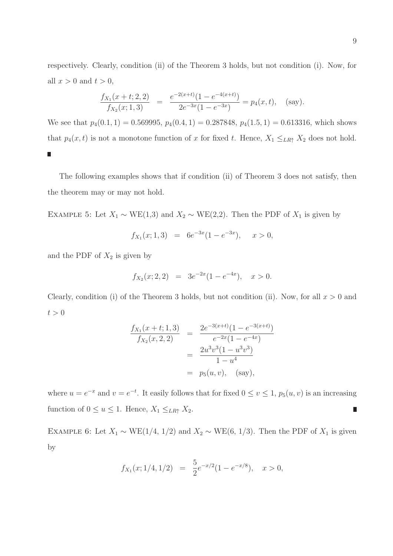respectively. Clearly, condition (ii) of the Theorem 3 holds, but not condition (i). Now, for all  $x > 0$  and  $t > 0$ ,

$$
\frac{f_{X_1}(x+t;2,2)}{f_{X_2}(x;1,3)} = \frac{e^{-2(x+t)}(1-e^{-4(x+t)})}{2e^{-3x}(1-e^{-3x})} = p_4(x,t), \quad \text{(say)}.
$$

We see that  $p_4(0.1, 1) = 0.569995$ ,  $p_4(0.4, 1) = 0.287848$ ,  $p_4(1.5, 1) = 0.613316$ , which shows that  $p_4(x, t)$  is not a monotone function of x for fixed t. Hence,  $X_1 \leq_{LR} X_2$  does not hold.  $\Box$ 

The following examples shows that if condition (ii) of Theorem 3 does not satisfy, then the theorem may or may not hold.

EXAMPLE 5: Let  $X_1 \sim \text{WE}(1,3)$  and  $X_2 \sim \text{WE}(2,2)$ . Then the PDF of  $X_1$  is given by

$$
f_{X_1}(x; 1,3) = 6e^{-3x}(1 - e^{-3x}), \quad x > 0,
$$

and the PDF of  $X_2$  is given by

$$
f_{X_2}(x; 2, 2) = 3e^{-2x}(1 - e^{-4x}), \quad x > 0.
$$

Clearly, condition (i) of the Theorem 3 holds, but not condition (ii). Now, for all  $x > 0$  and  $t > 0$ 

$$
\frac{f_{X_1}(x+t;1,3)}{f_{X_2}(x,2,2)} = \frac{2e^{-3(x+t)}(1-e^{-3(x+t)})}{e^{-2x}(1-e^{-4x})}
$$

$$
= \frac{2u^3v^3(1-u^3v^3)}{1-u^4}
$$

$$
= p_5(u,v), \text{ (say)},
$$

where  $u = e^{-x}$  and  $v = e^{-t}$ . It easily follows that for fixed  $0 \le v \le 1$ ,  $p_5(u, v)$  is an increasing function of  $0 \le u \le 1$ . Hence,  $X_1 \le_{LR\uparrow} X_2$ . ∎

EXAMPLE 6: Let  $X_1 \sim \text{WE}(1/4, 1/2)$  and  $X_2 \sim \text{WE}(6, 1/3)$ . Then the PDF of  $X_1$  is given by

$$
f_{X_1}(x; 1/4, 1/2) = \frac{5}{2}e^{-x/2}(1 - e^{-x/8}), \quad x > 0,
$$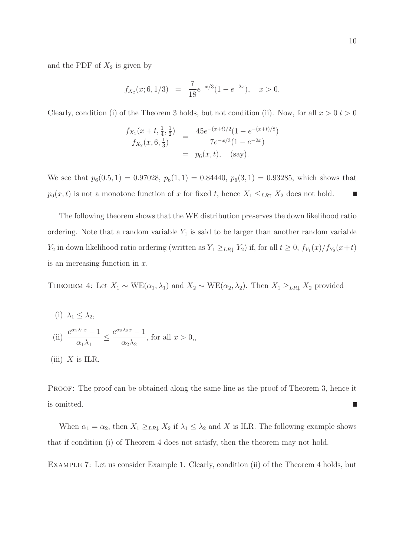and the PDF of  $X_2$  is given by

$$
f_{X_2}(x; 6, 1/3) = \frac{7}{18}e^{-x/3}(1 - e^{-2x}), \quad x > 0,
$$

Clearly, condition (i) of the Theorem 3 holds, but not condition (ii). Now, for all  $x > 0$   $t > 0$ 

$$
\frac{f_{X_1}(x+t, \frac{1}{4}, \frac{1}{2})}{f_{X_2}(x, 6, \frac{1}{3})} = \frac{45e^{-(x+t)/2}(1 - e^{-(x+t)/8})}{7e^{-x/3}(1 - e^{-2x})}
$$

$$
= p_6(x, t), \quad \text{(say)}.
$$

We see that  $p_6(0.5, 1) = 0.97028$ ,  $p_6(1, 1) = 0.84440$ ,  $p_6(3, 1) = 0.93285$ , which shows that  $p_6(x, t)$  is not a monotone function of x for fixed t, hence  $X_1 \leq_{LR} X_2$  does not hold. П

The following theorem shows that the WE distribution preserves the down likelihood ratio ordering. Note that a random variable  $Y_1$  is said to be larger than another random variable  $Y_2$  in down likelihood ratio ordering (written as  $Y_1 \geq_{LR} Y_2$ ) if, for all  $t \geq 0$ ,  $f_{Y_1}(x)/f_{Y_2}(x+t)$ is an increasing function in  $x$ .

THEOREM 4: Let  $X_1 \sim \text{WE}(\alpha_1, \lambda_1)$  and  $X_2 \sim \text{WE}(\alpha_2, \lambda_2)$ . Then  $X_1 \geq_{LR} X_2$  provided

(i)  $\lambda_1 < \lambda_2$ , (ii)  $\frac{e^{\alpha_1 \lambda_1 x}-1}{\lambda}$  $\frac{\alpha_1\lambda_1}{\alpha_1\lambda_1}$  $e^{\alpha_2\lambda_2 x}-1$  $\alpha_2\lambda_2$ , for all  $x > 0$ , (iii)  $X$  is ILR.

PROOF: The proof can be obtained along the same line as the proof of Theorem 3, hence it is omitted.

When  $\alpha_1 = \alpha_2$ , then  $X_1 \geq_{LR} X_2$  if  $\lambda_1 \leq \lambda_2$  and X is ILR. The following example shows that if condition (i) of Theorem 4 does not satisfy, then the theorem may not hold.

Example 7: Let us consider Example 1. Clearly, condition (ii) of the Theorem 4 holds, but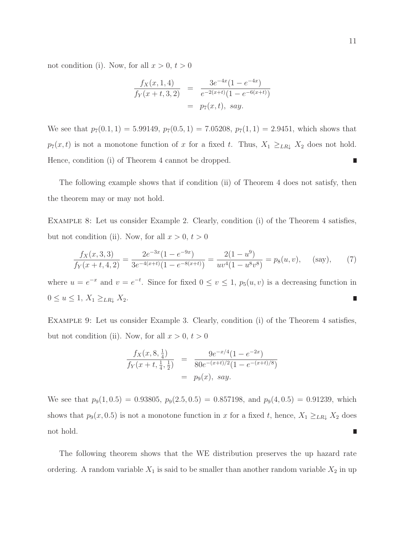not condition (i). Now, for all  $x > 0$ ,  $t > 0$ 

$$
\frac{f_X(x, 1, 4)}{f_Y(x+t, 3, 2)} = \frac{3e^{-4x}(1 - e^{-4x})}{e^{-2(x+t)}(1 - e^{-6(x+t)})}
$$
  
=  $p_7(x, t)$ , say.

We see that  $p_7(0.1, 1) = 5.99149$ ,  $p_7(0.5, 1) = 7.05208$ ,  $p_7(1, 1) = 2.9451$ , which shows that  $p_7(x, t)$  is not a monotone function of x for a fixed t. Thus,  $X_1 \geq_{LR} X_2$  does not hold. Hence, condition (i) of Theorem 4 cannot be dropped. П

The following example shows that if condition (ii) of Theorem 4 does not satisfy, then the theorem may or may not hold.

Example 8: Let us consider Example 2. Clearly, condition (i) of the Theorem 4 satisfies, but not condition (ii). Now, for all  $x > 0$ ,  $t > 0$ 

$$
\frac{f_X(x,3,3)}{f_Y(x+t,4,2)} = \frac{2e^{-3x}(1-e^{-9x})}{3e^{-4(x+t)}(1-e^{-8(x+t)})} = \frac{2(1-u^9)}{uv^4(1-u^8v^8)} = p_8(u,v), \quad \text{(say)}, \quad (7)
$$

where  $u = e^{-x}$  and  $v = e^{-t}$ . Since for fixed  $0 \le v \le 1$ ,  $p_5(u, v)$  is a decreasing function in  $0 \le u \le 1, X_1 \ge_{LR\downarrow} X_2.$ 

Example 9: Let us consider Example 3. Clearly, condition (i) of the Theorem 4 satisfies, but not condition (ii). Now, for all  $x > 0$ ,  $t > 0$ 

$$
\frac{f_X(x, 8, \frac{1}{4})}{f_Y(x+t, \frac{1}{4}, \frac{1}{2})} = \frac{9e^{-x/4}(1 - e^{-2x})}{80e^{-(x+t)/2}(1 - e^{-(x+t)/8})}
$$
  
=  $p_9(x)$ , say.

We see that  $p_9(1, 0.5) = 0.93805$ ,  $p_9(2.5, 0.5) = 0.857198$ , and  $p_9(4, 0.5) = 0.91239$ , which shows that  $p_9(x, 0.5)$  is not a monotone function in x for a fixed t, hence,  $X_1 \geq_{LR} X_2$  does not hold. П

The following theorem shows that the WE distribution preserves the up hazard rate ordering. A random variable  $X_1$  is said to be smaller than another random variable  $X_2$  in up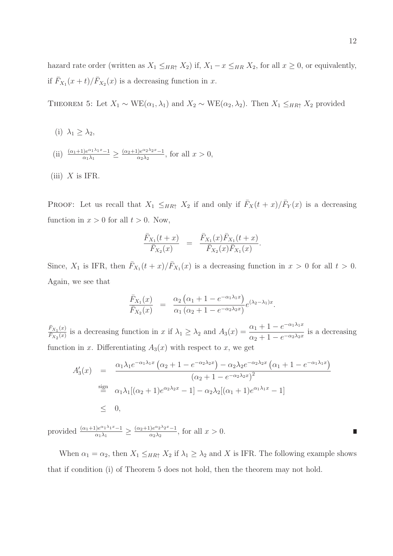hazard rate order (written as  $X_1 \leq_{HR} X_2$ ) if,  $X_1 - x \leq_{HR} X_2$ , for all  $x \geq 0$ , or equivalently, if  $\bar{F}_{X_1}(x+t)/\bar{F}_{X_2}(x)$  is a decreasing function in x.

THEOREM 5: Let  $X_1 \sim \text{WE}(\alpha_1, \lambda_1)$  and  $X_2 \sim \text{WE}(\alpha_2, \lambda_2)$ . Then  $X_1 \leq_{HR\uparrow} X_2$  provided

- (i)  $\lambda_1 > \lambda_2$ ,
- (ii)  $\frac{(\alpha_1+1)e^{\alpha_1\lambda_1x}-1}{\alpha_1\lambda_1}$  $\frac{\left|e^{\alpha_1 \lambda_1 x}-1\right|}{\alpha_1 \lambda_1} \geq \frac{(\alpha_2+1)e^{\alpha_2 \lambda_2 x}-1}{\alpha_2 \lambda_2}$  $\frac{\int e^{x^2-2x^2-1}}{\alpha_2\lambda_2}$ , for all  $x>0$ ,
- (iii)  $X$  is IFR.

PROOF: Let us recall that  $X_1 \leq_{HR\uparrow} X_2$  if and only if  $\bar{F}_X(t+x)/\bar{F}_Y(x)$  is a decreasing function in  $x > 0$  for all  $t > 0$ . Now,

$$
\frac{\bar{F}_{X_1}(t+x)}{\bar{F}_{X_2}(x)} = \frac{\bar{F}_{X_1}(x)\bar{F}_{X_1}(t+x)}{\bar{F}_{X_2}(x)\bar{F}_{X_1}(x)}.
$$

Since,  $X_1$  is IFR, then  $\bar{F}_{X_1}(t+x)/\bar{F}_{X_1}(x)$  is a decreasing function in  $x > 0$  for all  $t > 0$ . Again, we see that

$$
\frac{\bar{F}_{X_1}(x)}{\bar{F}_{X_2}(x)} = \frac{\alpha_2 (\alpha_1 + 1 - e^{-\alpha_1 \lambda_1 x})}{\alpha_1 (\alpha_2 + 1 - e^{-\alpha_2 \lambda_2 x})} e^{(\lambda_2 - \lambda_1)x}.
$$

 $\bar{F}_{X_1}(x)$  $\frac{\bar{F}_{X_1}(x)}{\bar{F}_{X_2}(x)}$  is a decreasing function in x if  $\lambda_1 \geq \lambda_2$  and  $A_3(x) = \frac{\alpha_1 + 1 - e^{-\alpha_1 \lambda_1 x}}{\alpha_2 + 1 - e^{-\alpha_2 \lambda_2 x}}$  $\frac{\alpha_1+1}{\alpha_2+1-e^{-\alpha_2\lambda_2x}}$  is a decreasing function in x. Differentiating  $A_3(x)$  with respect to x, we get

$$
A'_3(x) = \frac{\alpha_1 \lambda_1 e^{-\alpha_1 \lambda_1 x} \left( \alpha_2 + 1 - e^{-\alpha_2 \lambda_2 x} \right) - \alpha_2 \lambda_2 e^{-\alpha_2 \lambda_2 x} \left( \alpha_1 + 1 - e^{-\alpha_1 \lambda_1 x} \right)}{\left( \alpha_2 + 1 - e^{-\alpha_2 \lambda_2 x} \right)^2}
$$
  

$$
\stackrel{\text{sign}}{=} \alpha_1 \lambda_1 \left[ (\alpha_2 + 1) e^{\alpha_2 \lambda_2 x} - 1 \right] - \alpha_2 \lambda_2 \left[ (\alpha_1 + 1) e^{\alpha_1 \lambda_1 x} - 1 \right]
$$
  

$$
\leq 0,
$$

provided  $\frac{(\alpha_1+1)e^{\alpha_1\lambda_1x}-1}{\alpha_1\lambda_1}$  $\frac{\left(\alpha_1\lambda_1 x - 1\right)}{\alpha_1\lambda_1} \geq \frac{(\alpha_2+1)e^{\alpha_2\lambda_2 x} - 1}{\alpha_2\lambda_2}$  $\frac{\log 2^{x_2^2-1}}{\log 2}$ , for all  $x > 0$ .

When  $\alpha_1 = \alpha_2$ , then  $X_1 \leq_{HR\uparrow} X_2$  if  $\lambda_1 \geq \lambda_2$  and X is IFR. The following example shows that if condition (i) of Theorem 5 does not hold, then the theorem may not hold.

π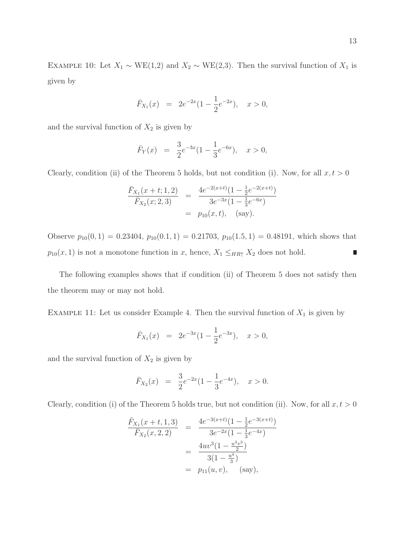EXAMPLE 10: Let  $X_1 \sim \text{WE}(1,2)$  and  $X_2 \sim \text{WE}(2,3)$ . Then the survival function of  $X_1$  is given by

$$
\bar{F}_{X_1}(x) = 2e^{-2x}(1 - \frac{1}{2}e^{-2x}), \quad x > 0,
$$

and the survival function of  $X_2$  is given by

$$
\bar{F}_Y(x) = \frac{3}{2}e^{-3x}(1 - \frac{1}{3}e^{-6x}), \quad x > 0,
$$

Clearly, condition (ii) of the Theorem 5 holds, but not condition (i). Now, for all  $x, t > 0$ 

$$
\frac{\bar{F}_{X_1}(x+t;1,2)}{\bar{F}_{X_2}(x;2,3)} = \frac{4e^{-2(x+t)}(1-\frac{1}{2}e^{-2(x+t)})}{3e^{-3x}(1-\frac{1}{3}e^{-6x})}
$$
  
=  $p_{10}(x,t),$  (say).

Observe  $p_{10}(0, 1) = 0.23404$ ,  $p_{10}(0.1, 1) = 0.21703$ ,  $p_{10}(1.5, 1) = 0.48191$ , which shows that  $p_{10}(x, 1)$  is not a monotone function in x, hence,  $X_1 \leq_{HR\uparrow} X_2$  does not hold.  $\overline{\phantom{a}}$ 

The following examples shows that if condition (ii) of Theorem 5 does not satisfy then the theorem may or may not hold.

EXAMPLE 11: Let us consider Example 4. Then the survival function of  $X_1$  is given by

$$
\bar{F}_{X_1}(x) = 2e^{-3x}(1 - \frac{1}{2}e^{-3x}), \quad x > 0,
$$

and the survival function of  $X_2$  is given by

$$
\bar{F}_{X_2}(x) = \frac{3}{2}e^{-2x}(1-\frac{1}{3}e^{-4x}), \quad x > 0.
$$

Clearly, condition (i) of the Theorem 5 holds true, but not condition (ii). Now, for all  $x, t > 0$ 

$$
\frac{\bar{F}_{X_1}(x+t,1,3)}{\bar{F}_{X_2}(x,2,2)} = \frac{4e^{-3(x+t)}(1-\frac{1}{2}e^{-3(x+t)})}{3e^{-2x}(1-\frac{1}{3}e^{-4x})}
$$

$$
= \frac{4uv^3(1-\frac{u^3v^3}{2})}{3(1-\frac{u^4}{3})}
$$

$$
= p_{11}(u,v), \text{ (say)},
$$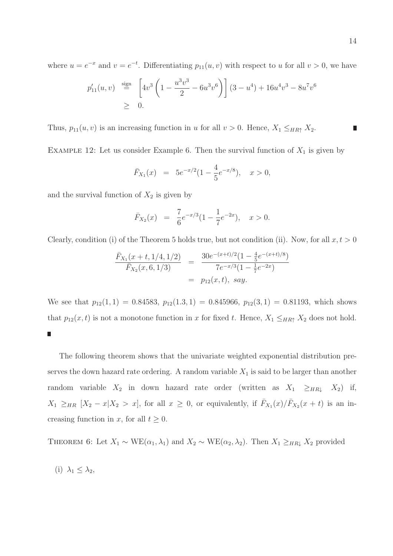where  $u = e^{-x}$  and  $v = e^{-t}$ . Differentiating  $p_{11}(u, v)$  with respect to u for all  $v > 0$ , we have

$$
p'_{11}(u,v) \stackrel{\text{sign}}{=} \left[4v^3\left(1 - \frac{u^3v^3}{2} - 6u^3v^6\right)\right](3 - u^4) + 16u^4v^3 - 8u^7v^6
$$
  
\n
$$
\geq 0.
$$

Thus,  $p_{11}(u, v)$  is an increasing function in u for all  $v > 0$ . Hence,  $X_1 \leq_{HR\uparrow} X_2$ .

EXAMPLE 12: Let us consider Example 6. Then the survival function of  $X_1$  is given by

$$
\bar{F}_{X_1}(x) = 5e^{-x/2}(1 - \frac{4}{5}e^{-x/8}), \quad x > 0,
$$

and the survival function of  $X_2$  is given by

$$
\bar{F}_{X_2}(x) = \frac{7}{6}e^{-x/3}(1 - \frac{1}{7}e^{-2x}), \quad x > 0.
$$

Clearly, condition (i) of the Theorem 5 holds true, but not condition (ii). Now, for all  $x, t > 0$ 

$$
\frac{\bar{F}_{X_1}(x+t,1/4,1/2)}{\bar{F}_{X_2}(x,6,1/3)} = \frac{30e^{-(x+t)/2}(1-\frac{4}{5}e^{-(x+t)/8})}{7e^{-x/3}(1-\frac{1}{7}e^{-2x})}
$$

$$
= p_{12}(x,t), \, say.
$$

We see that  $p_{12}(1,1) = 0.84583$ ,  $p_{12}(1,3,1) = 0.845966$ ,  $p_{12}(3,1) = 0.81193$ , which shows that  $p_{12}(x, t)$  is not a monotone function in x for fixed t. Hence,  $X_1 \leq_{HR\uparrow} X_2$  does not hold. П

The following theorem shows that the univariate weighted exponential distribution preserves the down hazard rate ordering. A random variable  $X_1$  is said to be larger than another random variable  $X_2$  in down hazard rate order (written as  $X_1 \geq_{HR\downarrow} X_2$ ) if,  $X_1 \geq_{HR} [X_2 - x | X_2 > x]$ , for all  $x \geq 0$ , or equivalently, if  $\bar{F}_{X_1}(x)/\bar{F}_{X_2}(x+t)$  is an increasing function in x, for all  $t \geq 0$ .

THEOREM 6: Let  $X_1 \sim \text{WE}(\alpha_1, \lambda_1)$  and  $X_2 \sim \text{WE}(\alpha_2, \lambda_2)$ . Then  $X_1 \geq_{HR} X_2$  provided

$$
(i) \ \lambda_1 \leq \lambda_2,
$$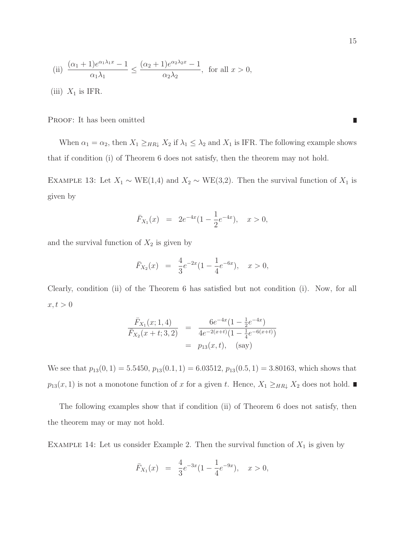(ii) 
$$
\frac{(\alpha_1 + 1)e^{\alpha_1\lambda_1 x} - 1}{\alpha_1\lambda_1} \le \frac{(\alpha_2 + 1)e^{\alpha_2\lambda_2 x} - 1}{\alpha_2\lambda_2}, \text{ for all } x > 0,
$$
  
(iii)  $X_1$  is IFR.

PROOF: It has been omitted

When  $\alpha_1 = \alpha_2$ , then  $X_1 \geq_{HR\downarrow} X_2$  if  $\lambda_1 \leq \lambda_2$  and  $X_1$  is IFR. The following example shows that if condition (i) of Theorem 6 does not satisfy, then the theorem may not hold.

EXAMPLE 13: Let  $X_1 \sim \text{WE}(1,4)$  and  $X_2 \sim \text{WE}(3,2)$ . Then the survival function of  $X_1$  is given by

$$
\bar{F}_{X_1}(x) = 2e^{-4x}(1 - \frac{1}{2}e^{-4x}), \quad x > 0,
$$

and the survival function of  $X_2$  is given by

$$
\bar{F}_{X_2}(x) = \frac{4}{3}e^{-2x}(1-\frac{1}{4}e^{-6x}), \quad x > 0,
$$

Clearly, condition (ii) of the Theorem 6 has satisfied but not condition (i). Now, for all  $x, t > 0$ 

$$
\frac{\bar{F}_{X_1}(x; 1, 4)}{\bar{F}_{X_2}(x+t; 3, 2)} = \frac{6e^{-4x}(1 - \frac{1}{2}e^{-4x})}{4e^{-2(x+t)}(1 - \frac{1}{4}e^{-6(x+t)})}
$$
  
=  $p_{13}(x, t),$  (say)

We see that  $p_{13}(0, 1) = 5.5450, p_{13}(0.1, 1) = 6.03512, p_{13}(0.5, 1) = 3.80163$ , which shows that  $p_{13}(x, 1)$  is not a monotone function of x for a given t. Hence,  $X_1 \geq_{HR\downarrow} X_2$  does not hold.

The following examples show that if condition (ii) of Theorem 6 does not satisfy, then the theorem may or may not hold.

EXAMPLE 14: Let us consider Example 2. Then the survival function of  $X_1$  is given by

$$
\bar{F}_{X_1}(x) = \frac{4}{3}e^{-3x}(1-\frac{1}{4}e^{-9x}), \quad x > 0,
$$

Π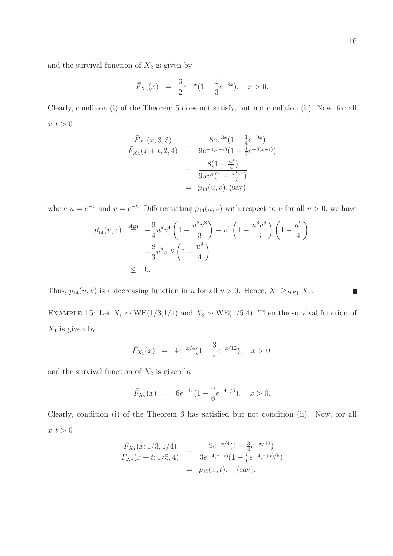Π

and the survival function of  $X_2$  is given by

$$
\bar{F}_{X_2}(x) = \frac{3}{2}e^{-4x}(1-\frac{1}{3}e^{-8x}), \quad x > 0.
$$

Clearly, condition (i) of the Theorem 5 does not satisfy, but not condition (ii). Now, for all  $x, t > 0$ 

$$
\frac{\bar{F}_{X_1}(x,3,3)}{\bar{F}_{X_2}(x+t,2,4)} = \frac{8e^{-3x}(1-\frac{1}{4}e^{-9x})}{9e^{-4(x+t)}(1-\frac{1}{3}e^{-8(x+t)})}
$$

$$
= \frac{8(1-\frac{u^9}{4})}{9uv^4(1-\frac{u^8v^8}{3})}
$$

$$
= p_{14}(u,v), \text{(say)},
$$

where  $u = e^{-x}$  and  $v = e^{-t}$ . Differentiating  $p_{14}(u, v)$  with respect to u for all  $v > 0$ , we have

$$
p'_{14}(u, v) \stackrel{\text{sign}}{=} -\frac{9}{4}u^9v^4\left(1 - \frac{u^8v^8}{3}\right) - v^4\left(1 - \frac{u^8v^8}{3}\right)\left(1 - \frac{u^9}{4}\right) + \frac{8}{3}u^8v^12\left(1 - \frac{u^9}{4}\right)
$$
  
 
$$
\leq 0.
$$

Thus,  $p_{14}(u, v)$  is a decreasing function in u for all  $v > 0$ . Hence,  $X_1 \geq_{HR\downarrow} X_2$ .

EXAMPLE 15: Let  $X_1 \sim \text{WE}(1/3,1/4)$  and  $X_2 \sim \text{WE}(1/5,4)$ . Then the survival function of  $X_1$  is given by

$$
\bar{F}_{X_1}(x) = 4e^{-x/4}(1 - \frac{3}{4}e^{-x/12}), \quad x > 0,
$$

and the survival function of  $X_2$  is given by

$$
\bar{F}_{X_2}(x) = 6e^{-4x}(1 - \frac{5}{6}e^{-4x/5}), \quad x > 0,
$$

Clearly, condition (i) of the Theorem 6 has satisfied but not condition (ii). Now, for all  $x, t > 0$ 

$$
\frac{\bar{F}_{X_1}(x; 1/3, 1/4)}{\bar{F}_{X_2}(x+t; 1/5, 4)} = \frac{2e^{-x/4}(1 - \frac{3}{4}e^{-x/12})}{3e^{-4(x+t)}(1 - \frac{5}{6}e^{-4(x+t)/5})}
$$
  
=  $p_{15}(x, t),$  (say).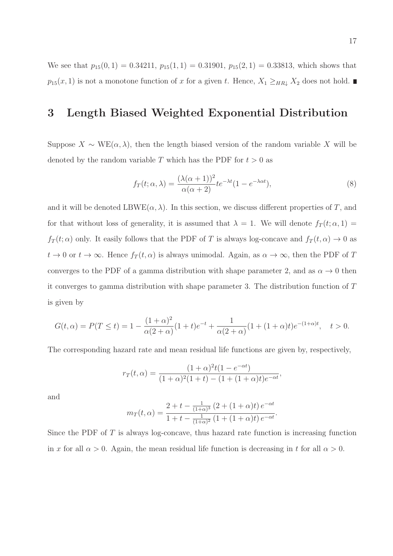We see that  $p_{15}(0, 1) = 0.34211$ ,  $p_{15}(1, 1) = 0.31901$ ,  $p_{15}(2, 1) = 0.33813$ , which shows that  $p_{15}(x, 1)$  is not a monotone function of x for a given t. Hence,  $X_1 \geq_{HR\downarrow} X_2$  does not hold.

### 3 Length Biased Weighted Exponential Distribution

Suppose  $X \sim \text{WE}(\alpha, \lambda)$ , then the length biased version of the random variable X will be denoted by the random variable T which has the PDF for  $t > 0$  as

$$
f_T(t; \alpha, \lambda) = \frac{(\lambda(\alpha + 1))^2}{\alpha(\alpha + 2)} t e^{-\lambda t} (1 - e^{-\lambda \alpha t}),
$$
\n(8)

and it will be denoted LBWE( $\alpha$ ,  $\lambda$ ). In this section, we discuss different properties of T, and for that without loss of generality, it is assumed that  $\lambda = 1$ . We will denote  $f_T(t; \alpha, 1) =$  $f_T(t; \alpha)$  only. It easily follows that the PDF of T is always log-concave and  $f_T(t, \alpha) \to 0$  as  $t \to 0$  or  $t \to \infty$ . Hence  $f_T(t, \alpha)$  is always unimodal. Again, as  $\alpha \to \infty$ , then the PDF of T converges to the PDF of a gamma distribution with shape parameter 2, and as  $\alpha \to 0$  then it converges to gamma distribution with shape parameter 3. The distribution function of T is given by

$$
G(t,\alpha) = P(T \le t) = 1 - \frac{(1+\alpha)^2}{\alpha(2+\alpha)}(1+t)e^{-t} + \frac{1}{\alpha(2+\alpha)}(1+(1+\alpha)t)e^{-(1+\alpha)t}, \quad t > 0.
$$

The corresponding hazard rate and mean residual life functions are given by, respectively,

$$
r_T(t,\alpha) = \frac{(1+\alpha)^2 t (1 - e^{-\alpha t})}{(1+\alpha)^2 (1+t) - (1 + (1+\alpha)t)e^{-\alpha t}},
$$

and

$$
m_T(t,\alpha) = \frac{2+t - \frac{1}{(1+\alpha)^3} (2+(1+\alpha)t) e^{-\alpha t}}{1+t - \frac{1}{(1+\alpha)^2} (1+(1+\alpha)t) e^{-\alpha t}}.
$$

Since the PDF of  $T$  is always log-concave, thus hazard rate function is increasing function in x for all  $\alpha > 0$ . Again, the mean residual life function is decreasing in t for all  $\alpha > 0$ .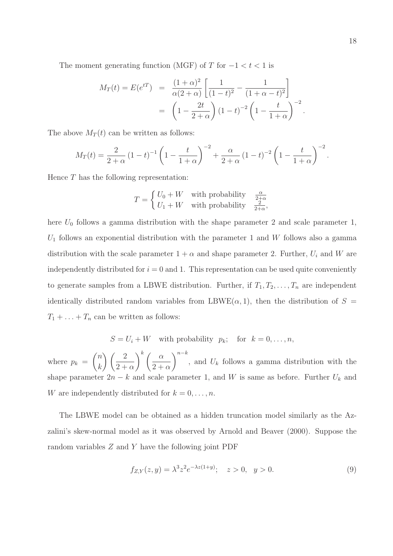The moment generating function (MGF) of T for  $-1 < t < 1$  is

$$
M_T(t) = E(e^{tT}) = \frac{(1+\alpha)^2}{\alpha(2+\alpha)} \left[ \frac{1}{(1-t)^2} - \frac{1}{(1+\alpha-t)^2} \right]
$$
  
= 
$$
\left(1 - \frac{2t}{2+\alpha}\right) (1-t)^{-2} \left(1 - \frac{t}{1+\alpha}\right)^{-2}.
$$

The above  $M_T(t)$  can be written as follows:

$$
M_T(t) = \frac{2}{2+\alpha} (1-t)^{-1} \left(1 - \frac{t}{1+\alpha}\right)^{-2} + \frac{\alpha}{2+\alpha} (1-t)^{-2} \left(1 - \frac{t}{1+\alpha}\right)^{-2}.
$$

Hence T has the following representation:

$$
T = \begin{cases} U_0 + W & \text{with probability} \\ U_1 + W & \text{with probability} \end{cases} \frac{\frac{\alpha}{2 + \alpha}}{\frac{2}{2 + \alpha}},
$$

here  $U_0$  follows a gamma distribution with the shape parameter 2 and scale parameter 1,  $U_1$  follows an exponential distribution with the parameter 1 and W follows also a gamma distribution with the scale parameter  $1 + \alpha$  and shape parameter 2. Further,  $U_i$  and W are independently distributed for  $i = 0$  and 1. This representation can be used quite conveniently to generate samples from a LBWE distribution. Further, if  $T_1, T_2, \ldots, T_n$  are independent identically distributed random variables from LBWE( $\alpha$ , 1), then the distribution of  $S =$  $T_1 + \ldots + T_n$  can be written as follows:

 $S = U_i + W$  with probability  $p_k$ ; for  $k = 0, \ldots, n$ ,

where  $p_k =$  $\sqrt{n}$ k  $\binom{2}{2}$  $2 + \alpha$  $\lambda^k$  (  $\alpha$  $2 + \alpha$  $\setminus^{n-k}$ , and  $U_k$  follows a gamma distribution with the shape parameter  $2n - k$  and scale parameter 1, and W is same as before. Further  $U_k$  and W are independently distributed for  $k = 0, \ldots, n$ .

The LBWE model can be obtained as a hidden truncation model similarly as the Azzalini's skew-normal model as it was observed by Arnold and Beaver (2000). Suppose the random variables  $Z$  and  $Y$  have the following joint PDF

$$
f_{Z,Y}(z,y) = \lambda^3 z^2 e^{-\lambda z(1+y)}; \quad z > 0, \quad y > 0.
$$
 (9)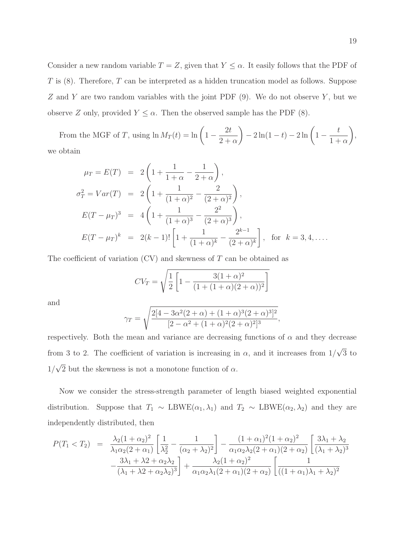Consider a new random variable  $T = Z$ , given that  $Y \leq \alpha$ . It easily follows that the PDF of  $T$  is  $(8)$ . Therefore,  $T$  can be interpreted as a hidden truncation model as follows. Suppose  $Z$  and  $Y$  are two random variables with the joint PDF  $(9)$ . We do not observe  $Y$ , but we observe Z only, provided  $Y \leq \alpha$ . Then the observed sample has the PDF (8).

From the MGF of T, using  $\ln M_T(t) = \ln \left(1 - \frac{t}{\sqrt{2\pi}}\right)$  $2<sub>t</sub>$  $2 + \alpha$  $\Big) - 2 \ln(1-t) - 2 \ln \Big( 1$ t  $1 + \alpha$  $\setminus$ , we obtain

$$
\mu_T = E(T) = 2\left(1 + \frac{1}{1+\alpha} - \frac{1}{2+\alpha}\right),
$$
  
\n
$$
\sigma_T^2 = Var(T) = 2\left(1 + \frac{1}{(1+\alpha)^2} - \frac{2}{(2+\alpha)^2}\right),
$$
  
\n
$$
E(T - \mu_T)^3 = 4\left(1 + \frac{1}{(1+\alpha)^3} - \frac{2^2}{(2+\alpha)^3}\right),
$$
  
\n
$$
E(T - \mu_T)^k = 2(k-1)!\left[1 + \frac{1}{(1+\alpha)^k} - \frac{2^{k-1}}{(2+\alpha)^k}\right], \text{ for } k = 3, 4, ....
$$

The coefficient of variation  $(CV)$  and skewness of T can be obtained as

$$
CV_T = \sqrt{\frac{1}{2} \left[ 1 - \frac{3(1+\alpha)^2}{(1+(1+\alpha)(2+\alpha))^2} \right]}
$$

and

$$
\gamma_T = \sqrt{\frac{2[4 - 3\alpha^2(2 + \alpha) + (1 + \alpha)^3(2 + \alpha)^3]^2}{[2 - \alpha^2 + (1 + \alpha)^2(2 + \alpha)^2]^3}},
$$

respectively. Both the mean and variance are decreasing functions of  $\alpha$  and they decrease from 3 to 2. The coefficient of variation is increasing in  $\alpha$ , and it increases from  $1/\sqrt{3}$  to  $1/\sqrt{2}$  but the skewness is not a monotone function of  $\alpha$ .

Now we consider the stress-strength parameter of length biased weighted exponential distribution. Suppose that  $T_1 \sim \text{LBWE}(\alpha_1, \lambda_1)$  and  $T_2 \sim \text{LBWE}(\alpha_2, \lambda_2)$  and they are independently distributed, then

$$
P(T_1 < T_2) = \frac{\lambda_2 (1 + \alpha_2)^2}{\lambda_1 \alpha_2 (2 + \alpha_1)} \left[ \frac{1}{\lambda_2^2} - \frac{1}{(\alpha_2 + \lambda_2)^2} \right] - \frac{(1 + \alpha_1)^2 (1 + \alpha_2)^2}{\alpha_1 \alpha_2 \lambda_2 (2 + \alpha_1) (2 + \alpha_2)} \left[ \frac{3\lambda_1 + \lambda_2}{(\lambda_1 + \lambda_2)^3} - \frac{3\lambda_1 + \lambda_2 + \alpha_2 \lambda_2}{(\lambda_1 + \lambda_2 + \alpha_2 \lambda_2)^3} \right] + \frac{\lambda_2 (1 + \alpha_2)^2}{\alpha_1 \alpha_2 \lambda_1 (2 + \alpha_1) (2 + \alpha_2)} \left[ \frac{1}{((1 + \alpha_1)\lambda_1 + \lambda_2)^2} \right]
$$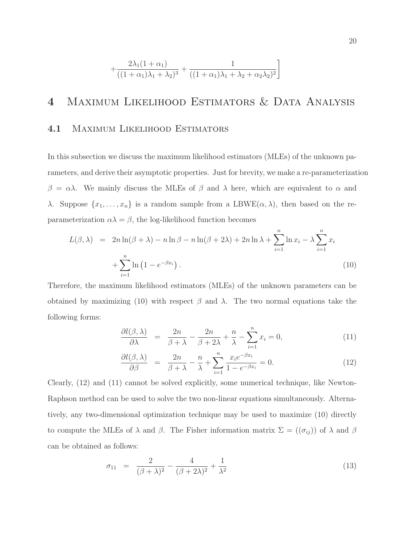$$
+\frac{2\lambda_1(1+\alpha_1)}{((1+\alpha_1)\lambda_1+\lambda_2)^3}+\frac{1}{((1+\alpha_1)\lambda_1+\lambda_2+\alpha_2\lambda_2)^2}\bigg]
$$

### 4 Maximum Likelihood Estimators & Data Analysis

#### 4.1 Maximum Likelihood Estimators

In this subsection we discuss the maximum likelihood estimators (MLEs) of the unknown parameters, and derive their asymptotic properties. Just for brevity, we make a re-parameterization  $\beta = \alpha \lambda$ . We mainly discuss the MLEs of  $\beta$  and  $\lambda$  here, which are equivalent to  $\alpha$  and λ. Suppose  $\{x_1, \ldots, x_n\}$  is a random sample from a LBWE( $\alpha$ , λ), then based on the reparameterization  $\alpha \lambda = \beta$ , the log-likelihood function becomes

$$
L(\beta, \lambda) = 2n \ln(\beta + \lambda) - n \ln \beta - n \ln(\beta + 2\lambda) + 2n \ln \lambda + \sum_{i=1}^{n} \ln x_i - \lambda \sum_{i=1}^{n} x_i
$$
  
+ 
$$
\sum_{i=1}^{n} \ln (1 - e^{-\beta x_i}).
$$
 (10)

Therefore, the maximum likelihood estimators (MLEs) of the unknown parameters can be obtained by maximizing (10) with respect  $\beta$  and  $\lambda$ . The two normal equations take the following forms:

$$
\frac{\partial l(\beta,\lambda)}{\partial \lambda} = \frac{2n}{\beta+\lambda} - \frac{2n}{\beta+2\lambda} + \frac{n}{\lambda} - \sum_{i=1}^{n} x_i = 0,
$$
\n(11)

$$
\frac{\partial l(\beta,\lambda)}{\partial \beta} = \frac{2n}{\beta+\lambda} - \frac{n}{\lambda} + \sum_{i=1}^{n} \frac{x_i e^{-\beta x_i}}{1 - e^{-\beta x_i}} = 0.
$$
\n(12)

Clearly, (12) and (11) cannot be solved explicitly, some numerical technique, like Newton-Raphson method can be used to solve the two non-linear equations simultaneously. Alternatively, any two-dimensional optimization technique may be used to maximize (10) directly to compute the MLEs of  $\lambda$  and  $\beta$ . The Fisher information matrix  $\Sigma = ((\sigma_{ij}))$  of  $\lambda$  and  $\beta$ can be obtained as follows:

$$
\sigma_{11} = \frac{2}{(\beta + \lambda)^2} - \frac{4}{(\beta + 2\lambda)^2} + \frac{1}{\lambda^2}
$$
\n(13)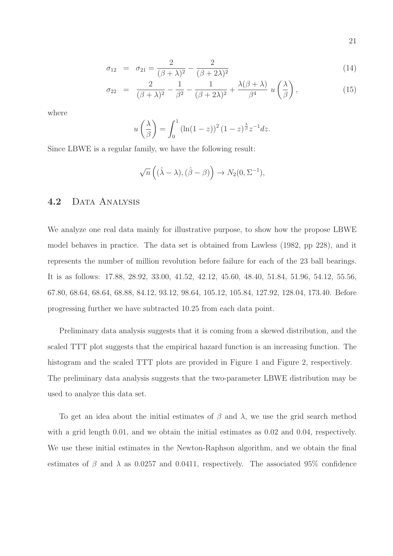$$
\sigma_{12} = \sigma_{21} = \frac{2}{(\beta + \lambda)^2} - \frac{2}{(\beta + 2\lambda)^2}
$$
\n(14)

$$
\sigma_{22} = \frac{2}{(\beta + \lambda)^2} - \frac{1}{\beta^2} - \frac{1}{(\beta + 2\lambda)^2} + \frac{\lambda(\beta + \lambda)}{\beta^4} u\left(\frac{\lambda}{\beta}\right),\tag{15}
$$

where

$$
u\left(\frac{\lambda}{\beta}\right) = \int_0^1 \left(\ln(1-z)\right)^2 (1-z)^{\frac{\lambda}{\beta}} z^{-1} dz.
$$

Since LBWE is a regular family, we have the following result:

$$
\sqrt{n}\left((\hat{\lambda}-\lambda),(\hat{\beta}-\beta)\right) \to N_2(0,\Sigma^{-1}),
$$

#### 4.2 DATA ANALYSIS

We analyze one real data mainly for illustrative purpose, to show how the propose LBWE model behaves in practice. The data set is obtained from Lawless (1982, pp 228), and it represents the number of million revolution before failure for each of the 23 ball bearings. It is as follows: 17.88, 28.92, 33.00, 41.52, 42.12, 45.60, 48.40, 51.84, 51.96, 54.12, 55.56, 67.80, 68.64, 68.64, 68.88, 84.12, 93.12, 98.64, 105.12, 105.84, 127.92, 128.04, 173.40. Before progressing further we have subtracted 10.25 from each data point.

Preliminary data analysis suggests that it is coming from a skewed distribution, and the scaled TTT plot suggests that the empirical hazard function is an increasing function. The histogram and the scaled TTT plots are provided in Figure 1 and Figure 2, respectively. The preliminary data analysis suggests that the two-parameter LBWE distribution may be used to analyze this data set.

To get an idea about the initial estimates of  $\beta$  and  $\lambda$ , we use the grid search method with a grid length 0.01, and we obtain the initial estimates as 0.02 and 0.04, respectively. We use these initial estimates in the Newton-Raphson algorithm, and we obtain the final estimates of  $\beta$  and  $\lambda$  as 0.0257 and 0.0411, respectively. The associated 95% confidence

21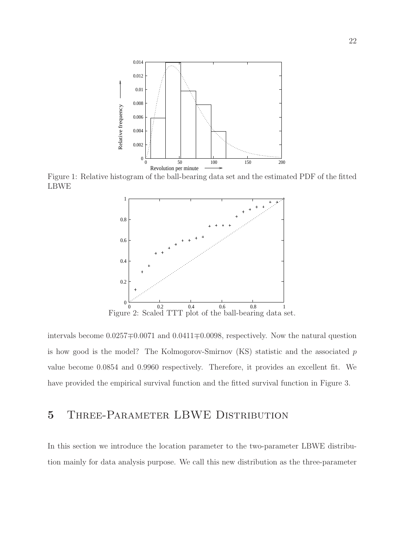

Figure 1: Relative histogram of the ball-bearing data set and the estimated PDF of the fitted LBWE



intervals become 0.0257∓0.0071 and 0.0411∓0.0098, respectively. Now the natural question is how good is the model? The Kolmogorov-Smirnov  $(KS)$  statistic and the associated p value become 0.0854 and 0.9960 respectively. Therefore, it provides an excellent fit. We have provided the empirical survival function and the fitted survival function in Figure 3.

### 5 Three-Parameter LBWE Distribution

In this section we introduce the location parameter to the two-parameter LBWE distribution mainly for data analysis purpose. We call this new distribution as the three-parameter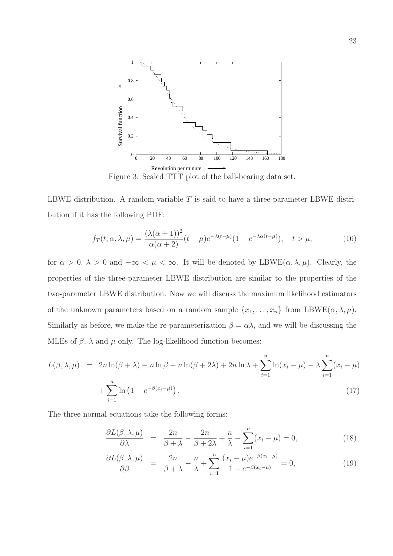

Figure 3: Scaled TTT plot of the ball-bearing data set.

LBWE distribution. A random variable  $T$  is said to have a three-parameter LBWE distribution if it has the following PDF:

$$
f_T(t; \alpha, \lambda, \mu) = \frac{(\lambda(\alpha + 1))^2}{\alpha(\alpha + 2)}(t - \mu)e^{-\lambda(t - \mu)}(1 - e^{-\lambda \alpha(t - \mu)}); \quad t > \mu,
$$
 (16)

for  $\alpha > 0$ ,  $\lambda > 0$  and  $-\infty < \mu < \infty$ . It will be denoted by LBWE( $\alpha, \lambda, \mu$ ). Clearly, the properties of the three-parameter LBWE distribution are similar to the properties of the two-parameter LBWE distribution. Now we will discuss the maximum likelihood estimators of the unknown parameters based on a random sample  $\{x_1, \ldots, x_n\}$  from LBWE( $\alpha, \lambda, \mu$ ). Similarly as before, we make the re-parameterization  $\beta = \alpha \lambda$ , and we will be discussing the MLEs of  $\beta$ ,  $\lambda$  and  $\mu$  only. The log-likelihood function becomes:

$$
L(\beta, \lambda, \mu) = 2n \ln(\beta + \lambda) - n \ln \beta - n \ln(\beta + 2\lambda) + 2n \ln \lambda + \sum_{i=1}^{n} \ln(x_i - \mu) - \lambda \sum_{i=1}^{n} (x_i - \mu)
$$

$$
+ \sum_{i=1}^{n} \ln(1 - e^{-\beta(x_i - \mu)}).
$$
(17)

The three normal equations take the following forms:

$$
\frac{\partial L(\beta,\lambda,\mu)}{\partial \lambda} = \frac{2n}{\beta+\lambda} - \frac{2n}{\beta+2\lambda} + \frac{n}{\lambda} - \sum_{i=1}^{n} (x_i - \mu) = 0,
$$
\n(18)

$$
\frac{\partial L(\beta,\lambda,\mu)}{\partial \beta} = \frac{2n}{\beta+\lambda} - \frac{n}{\lambda} + \sum_{i=1}^{n} \frac{(x_i-\mu)e^{-\beta(x_i-\mu)}}{1-e^{-\beta(x_i-\mu)}} = 0,
$$
\n(19)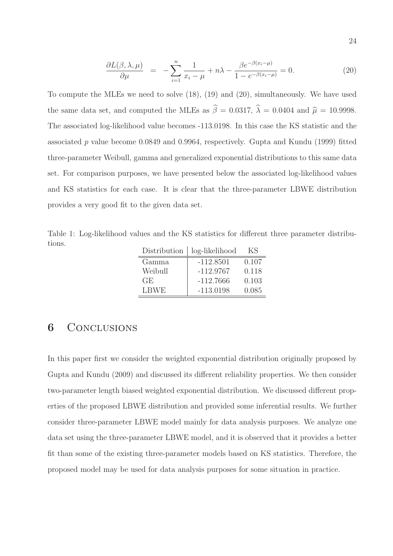$$
\frac{\partial L(\beta,\lambda,\mu)}{\partial \mu} = -\sum_{i=1}^{n} \frac{1}{x_i - \mu} + n\lambda - \frac{\beta e^{-\beta(x_i - \mu)}}{1 - e^{-\beta(x_i - \mu)}} = 0. \tag{20}
$$

To compute the MLEs we need to solve (18), (19) and (20), simultaneously. We have used the same data set, and computed the MLEs as  $\hat{\beta} = 0.0317$ ,  $\hat{\lambda} = 0.0404$  and  $\hat{\mu} = 10.9998$ . The associated log-likelihood value becomes -113.0198. In this case the KS statistic and the associated p value become 0.0849 and 0.9964, respectively. Gupta and Kundu (1999) fitted three-parameter Weibull, gamma and generalized exponential distributions to this same data set. For comparison purposes, we have presented below the associated log-likelihood values and KS statistics for each case. It is clear that the three-parameter LBWE distribution provides a very good fit to the given data set.

Table 1: Log-likelihood values and the KS statistics for different three parameter distributions.

| Distribution | log-likelihood | КS    |
|--------------|----------------|-------|
| Gamma        | $-112.8501$    | 0.107 |
| Weibull      | $-112.9767$    | 0.118 |
| GE.          | $-112.7666$    | 0.103 |
| <b>LBWE</b>  | $-113.0198$    | 0.085 |

### 6 CONCLUSIONS

In this paper first we consider the weighted exponential distribution originally proposed by Gupta and Kundu (2009) and discussed its different reliability properties. We then consider two-parameter length biased weighted exponential distribution. We discussed different properties of the proposed LBWE distribution and provided some inferential results. We further consider three-parameter LBWE model mainly for data analysis purposes. We analyze one data set using the three-parameter LBWE model, and it is observed that it provides a better fit than some of the existing three-parameter models based on KS statistics. Therefore, the proposed model may be used for data analysis purposes for some situation in practice.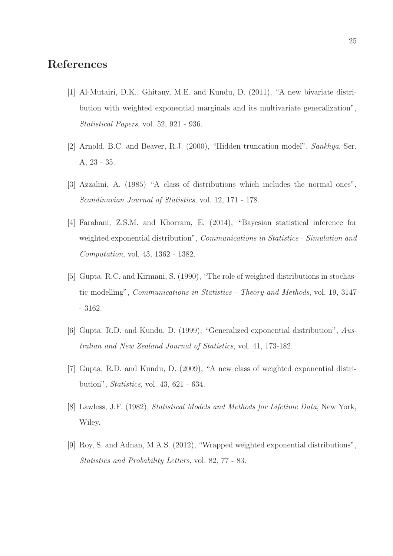### References

- [1] Al-Mutairi, D.K., Ghitany, M.E. and Kundu, D. (2011), "A new bivariate distribution with weighted exponential marginals and its multivariate generalization", Statistical Papers, vol. 52, 921 - 936.
- [2] Arnold, B.C. and Beaver, R.J. (2000), "Hidden truncation model", Sankhya, Ser. A, 23 - 35.
- [3] Azzalini, A. (1985) "A class of distributions which includes the normal ones", Scandinavian Journal of Statistics, vol. 12, 171 - 178.
- [4] Farahani, Z.S.M. and Khorram, E. (2014), "Bayesian statistical inference for weighted exponential distribution", Communications in Statistics - Simulation and Computation, vol. 43, 1362 - 1382.
- [5] Gupta, R.C. and Kirmani, S. (1990), "The role of weighted distributions in stochastic modelling", Communications in Statistics - Theory and Methods, vol. 19, 3147 - 3162.
- [6] Gupta, R.D. and Kundu, D. (1999), "Generalized exponential distribution", Australian and New Zealand Journal of Statistics, vol. 41, 173-182.
- [7] Gupta, R.D. and Kundu, D. (2009), "A new class of weighted exponential distribution", Statistics, vol. 43, 621 - 634.
- [8] Lawless, J.F. (1982), Statistical Models and Methods for Lifetime Data, New York, Wiley.
- [9] Roy, S. and Adnan, M.A.S. (2012), "Wrapped weighted exponential distributions", Statistics and Probability Letters, vol. 82, 77 - 83.